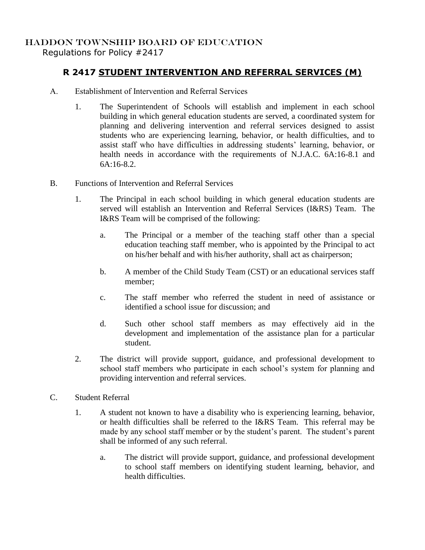## HADDON TOWNSHIP BOARD OF EDUCATION

Regulations for Policy #2417

## **R 2417 STUDENT INTERVENTION AND REFERRAL SERVICES (M)**

- A. Establishment of Intervention and Referral Services
	- 1. The Superintendent of Schools will establish and implement in each school building in which general education students are served, a coordinated system for planning and delivering intervention and referral services designed to assist students who are experiencing learning, behavior, or health difficulties, and to assist staff who have difficulties in addressing students' learning, behavior, or health needs in accordance with the requirements of N.J.A.C. 6A:16-8.1 and 6A:16-8.2.
- B. Functions of Intervention and Referral Services
	- 1. The Principal in each school building in which general education students are served will establish an Intervention and Referral Services (I&RS) Team. The I&RS Team will be comprised of the following:
		- a. The Principal or a member of the teaching staff other than a special education teaching staff member, who is appointed by the Principal to act on his/her behalf and with his/her authority, shall act as chairperson;
		- b. A member of the Child Study Team (CST) or an educational services staff member;
		- c. The staff member who referred the student in need of assistance or identified a school issue for discussion; and
		- d. Such other school staff members as may effectively aid in the development and implementation of the assistance plan for a particular student.
	- 2. The district will provide support, guidance, and professional development to school staff members who participate in each school's system for planning and providing intervention and referral services.
- C. Student Referral
	- 1. A student not known to have a disability who is experiencing learning, behavior, or health difficulties shall be referred to the I&RS Team. This referral may be made by any school staff member or by the student's parent. The student's parent shall be informed of any such referral.
		- a. The district will provide support, guidance, and professional development to school staff members on identifying student learning, behavior, and health difficulties.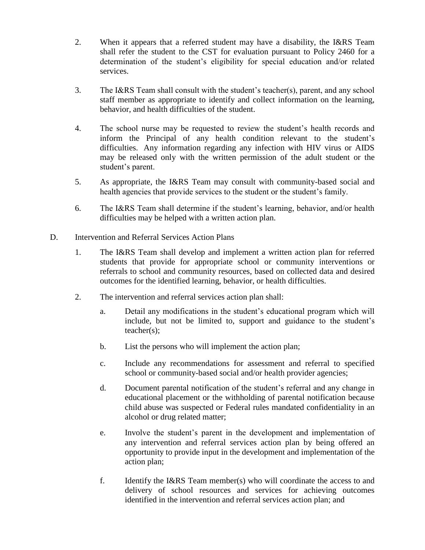- 2. When it appears that a referred student may have a disability, the I&RS Team shall refer the student to the CST for evaluation pursuant to Policy 2460 for a determination of the student's eligibility for special education and/or related services.
- 3. The I&RS Team shall consult with the student's teacher(s), parent, and any school staff member as appropriate to identify and collect information on the learning, behavior, and health difficulties of the student.
- 4. The school nurse may be requested to review the student's health records and inform the Principal of any health condition relevant to the student's difficulties. Any information regarding any infection with HIV virus or AIDS may be released only with the written permission of the adult student or the student's parent.
- 5. As appropriate, the I&RS Team may consult with community-based social and health agencies that provide services to the student or the student's family.
- 6. The I&RS Team shall determine if the student's learning, behavior, and/or health difficulties may be helped with a written action plan.
- D. Intervention and Referral Services Action Plans
	- 1. The I&RS Team shall develop and implement a written action plan for referred students that provide for appropriate school or community interventions or referrals to school and community resources, based on collected data and desired outcomes for the identified learning, behavior, or health difficulties.
	- 2. The intervention and referral services action plan shall:
		- a. Detail any modifications in the student's educational program which will include, but not be limited to, support and guidance to the student's teacher(s);
		- b. List the persons who will implement the action plan;
		- c. Include any recommendations for assessment and referral to specified school or community-based social and/or health provider agencies;
		- d. Document parental notification of the student's referral and any change in educational placement or the withholding of parental notification because child abuse was suspected or Federal rules mandated confidentiality in an alcohol or drug related matter;
		- e. Involve the student's parent in the development and implementation of any intervention and referral services action plan by being offered an opportunity to provide input in the development and implementation of the action plan;
		- f. Identify the I&RS Team member(s) who will coordinate the access to and delivery of school resources and services for achieving outcomes identified in the intervention and referral services action plan; and